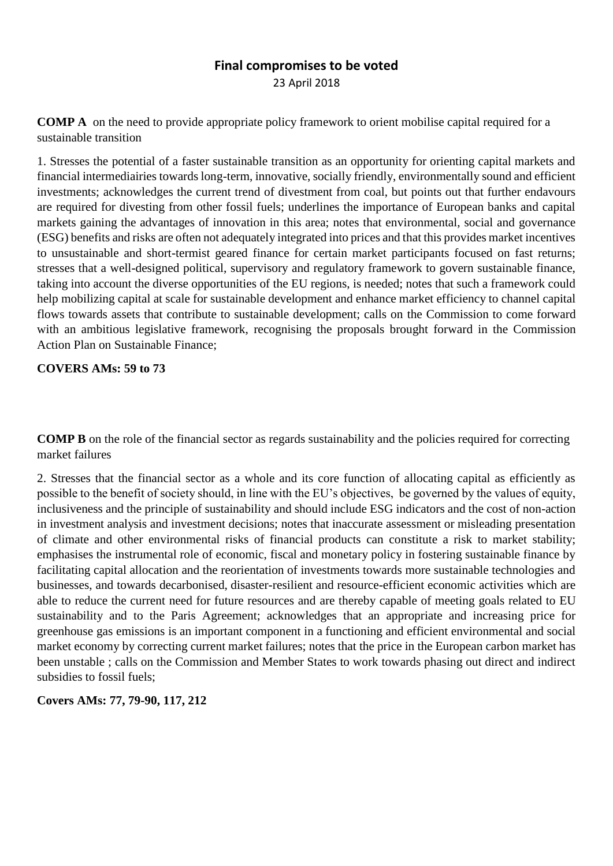# **Final compromises to be voted** 23 April 2018

**COMP A** on the need to provide appropriate policy framework to orient mobilise capital required for a sustainable transition

1. Stresses the potential of a faster sustainable transition as an opportunity for orienting capital markets and financial intermediairies towards long-term, innovative, socially friendly, environmentally sound and efficient investments; acknowledges the current trend of divestment from coal, but points out that further endavours are required for divesting from other fossil fuels; underlines the importance of European banks and capital markets gaining the advantages of innovation in this area; notes that environmental, social and governance (ESG) benefits and risks are often not adequately integrated into prices and that this provides market incentives to unsustainable and short-termist geared finance for certain market participants focused on fast returns; stresses that a well-designed political, supervisory and regulatory framework to govern sustainable finance, taking into account the diverse opportunities of the EU regions, is needed; notes that such a framework could help mobilizing capital at scale for sustainable development and enhance market efficiency to channel capital flows towards assets that contribute to sustainable development; calls on the Commission to come forward with an ambitious legislative framework, recognising the proposals brought forward in the Commission Action Plan on Sustainable Finance;

# **COVERS AMs: 59 to 73**

**COMP B** on the role of the financial sector as regards sustainability and the policies required for correcting market failures

2. Stresses that the financial sector as a whole and its core function of allocating capital as efficiently as possible to the benefit of society should, in line with the EU's objectives, be governed by the values of equity, inclusiveness and the principle of sustainability and should include ESG indicators and the cost of non-action in investment analysis and investment decisions; notes that inaccurate assessment or misleading presentation of climate and other environmental risks of financial products can constitute a risk to market stability; emphasises the instrumental role of economic, fiscal and monetary policy in fostering sustainable finance by facilitating capital allocation and the reorientation of investments towards more sustainable technologies and businesses, and towards decarbonised, disaster-resilient and resource-efficient economic activities which are able to reduce the current need for future resources and are thereby capable of meeting goals related to EU sustainability and to the Paris Agreement; acknowledges that an appropriate and increasing price for greenhouse gas emissions is an important component in a functioning and efficient environmental and social market economy by correcting current market failures; notes that the price in the European carbon market has been unstable ; calls on the Commission and Member States to work towards phasing out direct and indirect subsidies to fossil fuels;

**Covers AMs: 77, 79-90, 117, 212**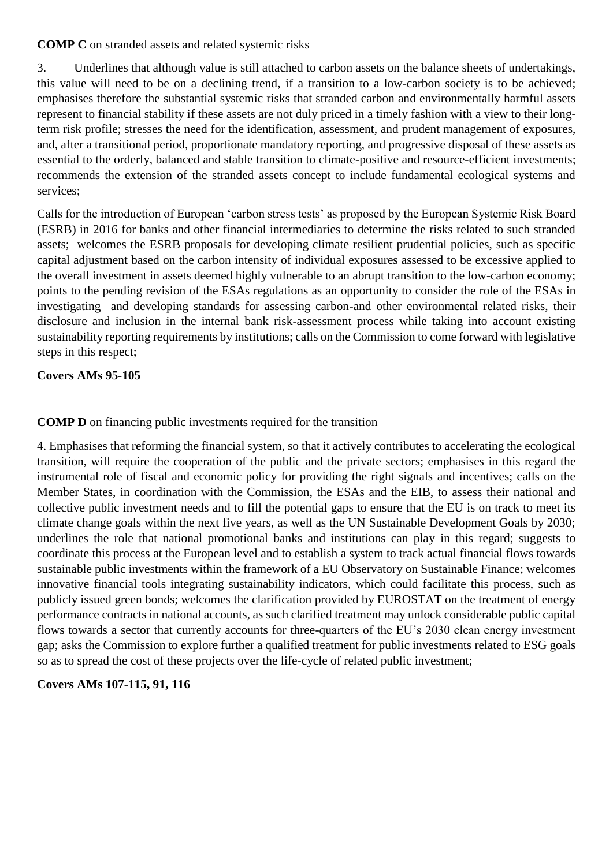**COMP C** on stranded assets and related systemic risks

3. Underlines that although value is still attached to carbon assets on the balance sheets of undertakings, this value will need to be on a declining trend, if a transition to a low-carbon society is to be achieved; emphasises therefore the substantial systemic risks that stranded carbon and environmentally harmful assets represent to financial stability if these assets are not duly priced in a timely fashion with a view to their longterm risk profile; stresses the need for the identification, assessment, and prudent management of exposures, and, after a transitional period, proportionate mandatory reporting, and progressive disposal of these assets as essential to the orderly, balanced and stable transition to climate-positive and resource-efficient investments; recommends the extension of the stranded assets concept to include fundamental ecological systems and services;

Calls for the introduction of European 'carbon stress tests' as proposed by the European Systemic Risk Board (ESRB) in 2016 for banks and other financial intermediaries to determine the risks related to such stranded assets; welcomes the ESRB proposals for developing climate resilient prudential policies, such as specific capital adjustment based on the carbon intensity of individual exposures assessed to be excessive applied to the overall investment in assets deemed highly vulnerable to an abrupt transition to the low-carbon economy; points to the pending revision of the ESAs regulations as an opportunity to consider the role of the ESAs in investigating and developing standards for assessing carbon-and other environmental related risks, their disclosure and inclusion in the internal bank risk-assessment process while taking into account existing sustainability reporting requirements by institutions; calls on the Commission to come forward with legislative steps in this respect;

## **Covers AMs 95-105**

## **COMP D** on financing public investments required for the transition

4. Emphasises that reforming the financial system, so that it actively contributes to accelerating the ecological transition, will require the cooperation of the public and the private sectors; emphasises in this regard the instrumental role of fiscal and economic policy for providing the right signals and incentives; calls on the Member States, in coordination with the Commission, the ESAs and the EIB, to assess their national and collective public investment needs and to fill the potential gaps to ensure that the EU is on track to meet its climate change goals within the next five years, as well as the UN Sustainable Development Goals by 2030; underlines the role that national promotional banks and institutions can play in this regard; suggests to coordinate this process at the European level and to establish a system to track actual financial flows towards sustainable public investments within the framework of a EU Observatory on Sustainable Finance; welcomes innovative financial tools integrating sustainability indicators, which could facilitate this process, such as publicly issued green bonds; welcomes the clarification provided by EUROSTAT on the treatment of energy performance contracts in national accounts, as such clarified treatment may unlock considerable public capital flows towards a sector that currently accounts for three-quarters of the EU's 2030 clean energy investment gap; asks the Commission to explore further a qualified treatment for public investments related to ESG goals so as to spread the cost of these projects over the life-cycle of related public investment;

## **Covers AMs 107-115, 91, 116**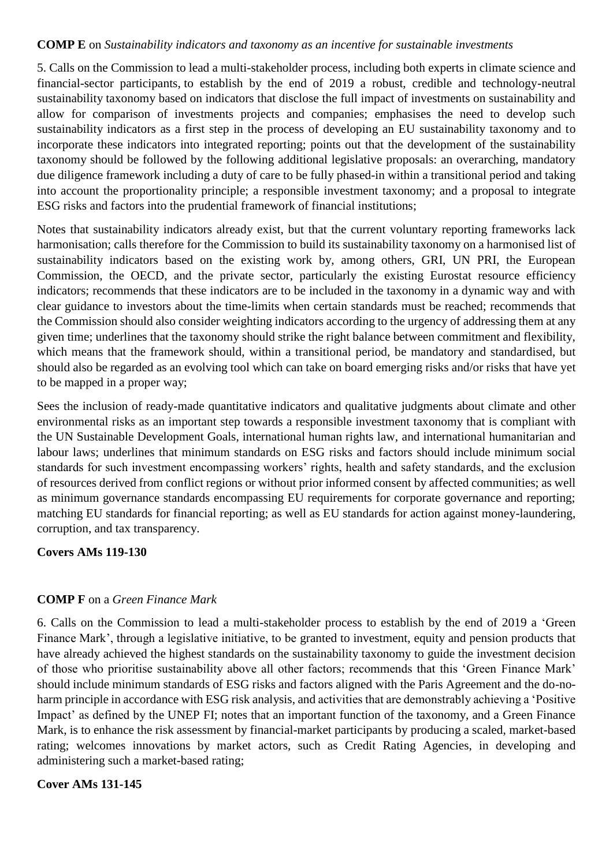### **COMP E** on *Sustainability indicators and taxonomy as an incentive for sustainable investments*

5. Calls on the Commission to lead a multi-stakeholder process, including both experts in climate science and financial-sector participants, to establish by the end of 2019 a robust, credible and technology-neutral sustainability taxonomy based on indicators that disclose the full impact of investments on sustainability and allow for comparison of investments projects and companies; emphasises the need to develop such sustainability indicators as a first step in the process of developing an EU sustainability taxonomy and to incorporate these indicators into integrated reporting; points out that the development of the sustainability taxonomy should be followed by the following additional legislative proposals: an overarching, mandatory due diligence framework including a duty of care to be fully phased-in within a transitional period and taking into account the proportionality principle; a responsible investment taxonomy; and a proposal to integrate ESG risks and factors into the prudential framework of financial institutions;

Notes that sustainability indicators already exist, but that the current voluntary reporting frameworks lack harmonisation; calls therefore for the Commission to build its sustainability taxonomy on a harmonised list of sustainability indicators based on the existing work by, among others, GRI, UN PRI, the European Commission, the OECD, and the private sector, particularly the existing Eurostat resource efficiency indicators; recommends that these indicators are to be included in the taxonomy in a dynamic way and with clear guidance to investors about the time-limits when certain standards must be reached; recommends that the Commission should also consider weighting indicators according to the urgency of addressing them at any given time; underlines that the taxonomy should strike the right balance between commitment and flexibility, which means that the framework should, within a transitional period, be mandatory and standardised, but should also be regarded as an evolving tool which can take on board emerging risks and/or risks that have yet to be mapped in a proper way;

Sees the inclusion of ready-made quantitative indicators and qualitative judgments about climate and other environmental risks as an important step towards a responsible investment taxonomy that is compliant with the UN Sustainable Development Goals, international human rights law, and international humanitarian and labour laws; underlines that minimum standards on ESG risks and factors should include minimum social standards for such investment encompassing workers' rights, health and safety standards, and the exclusion of resources derived from conflict regions or without prior informed consent by affected communities; as well as minimum governance standards encompassing EU requirements for corporate governance and reporting; matching EU standards for financial reporting; as well as EU standards for action against money-laundering, corruption, and tax transparency.

## **Covers AMs 119-130**

## **COMP F** on a *Green Finance Mark*

6. Calls on the Commission to lead a multi-stakeholder process to establish by the end of 2019 a 'Green Finance Mark', through a legislative initiative, to be granted to investment, equity and pension products that have already achieved the highest standards on the sustainability taxonomy to guide the investment decision of those who prioritise sustainability above all other factors; recommends that this 'Green Finance Mark' should include minimum standards of ESG risks and factors aligned with the Paris Agreement and the do-noharm principle in accordance with ESG risk analysis, and activities that are demonstrably achieving a 'Positive Impact' as defined by the UNEP FI; notes that an important function of the taxonomy, and a Green Finance Mark, is to enhance the risk assessment by financial-market participants by producing a scaled, market-based rating; welcomes innovations by market actors, such as Credit Rating Agencies, in developing and administering such a market-based rating;

## **Cover AMs 131-145**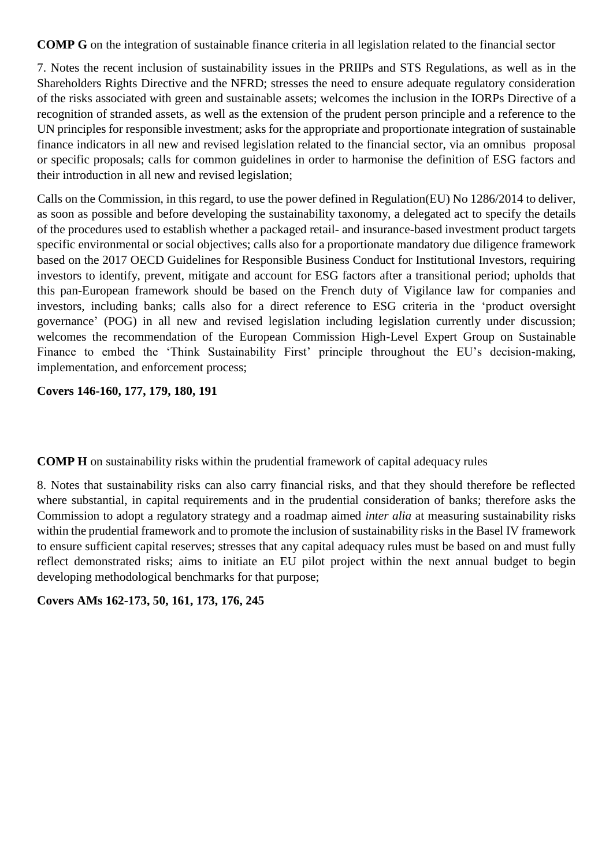**COMP G** on the integration of sustainable finance criteria in all legislation related to the financial sector

7. Notes the recent inclusion of sustainability issues in the PRIIPs and STS Regulations, as well as in the Shareholders Rights Directive and the NFRD; stresses the need to ensure adequate regulatory consideration of the risks associated with green and sustainable assets; welcomes the inclusion in the IORPs Directive of a recognition of stranded assets, as well as the extension of the prudent person principle and a reference to the UN principles for responsible investment; asks for the appropriate and proportionate integration of sustainable finance indicators in all new and revised legislation related to the financial sector, via an omnibus proposal or specific proposals; calls for common guidelines in order to harmonise the definition of ESG factors and their introduction in all new and revised legislation;

Calls on the Commission, in this regard, to use the power defined in Regulation(EU) No 1286/2014 to deliver, as soon as possible and before developing the sustainability taxonomy, a delegated act to specify the details of the procedures used to establish whether a packaged retail- and insurance-based investment product targets specific environmental or social objectives; calls also for a proportionate mandatory due diligence framework based on the 2017 OECD Guidelines for Responsible Business Conduct for Institutional Investors, requiring investors to identify, prevent, mitigate and account for ESG factors after a transitional period; upholds that this pan-European framework should be based on the French duty of Vigilance law for companies and investors, including banks; calls also for a direct reference to ESG criteria in the 'product oversight governance' (POG) in all new and revised legislation including legislation currently under discussion; welcomes the recommendation of the European Commission High-Level Expert Group on Sustainable Finance to embed the 'Think Sustainability First' principle throughout the EU's decision-making, implementation, and enforcement process;

**Covers 146-160, 177, 179, 180, 191**

**COMP H** on sustainability risks within the prudential framework of capital adequacy rules

8. Notes that sustainability risks can also carry financial risks, and that they should therefore be reflected where substantial, in capital requirements and in the prudential consideration of banks; therefore asks the Commission to adopt a regulatory strategy and a roadmap aimed *inter alia* at measuring sustainability risks within the prudential framework and to promote the inclusion of sustainability risks in the Basel IV framework to ensure sufficient capital reserves; stresses that any capital adequacy rules must be based on and must fully reflect demonstrated risks; aims to initiate an EU pilot project within the next annual budget to begin developing methodological benchmarks for that purpose;

**Covers AMs 162-173, 50, 161, 173, 176, 245**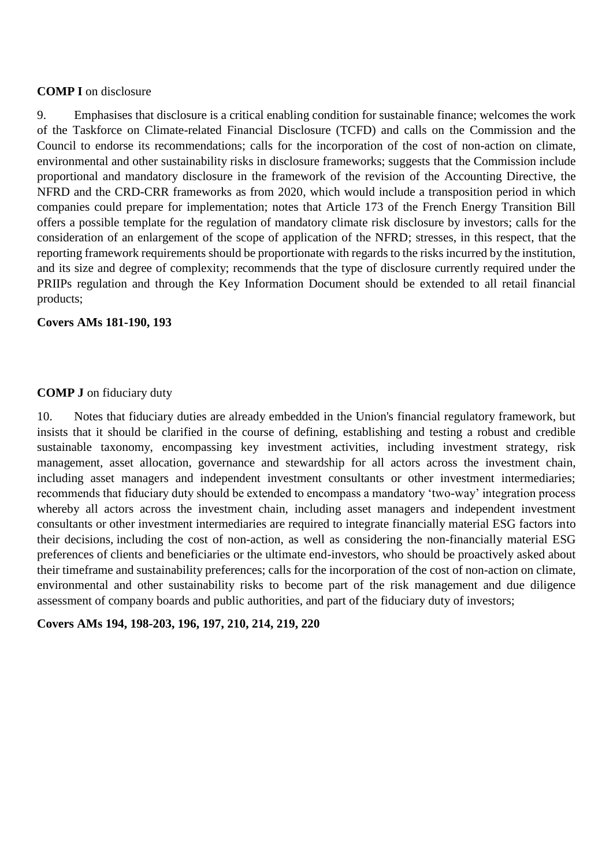### **COMP I** on disclosure

9. Emphasises that disclosure is a critical enabling condition for sustainable finance; welcomes the work of the Taskforce on Climate-related Financial Disclosure (TCFD) and calls on the Commission and the Council to endorse its recommendations; calls for the incorporation of the cost of non-action on climate, environmental and other sustainability risks in disclosure frameworks; suggests that the Commission include proportional and mandatory disclosure in the framework of the revision of the Accounting Directive, the NFRD and the CRD-CRR frameworks as from 2020, which would include a transposition period in which companies could prepare for implementation; notes that Article 173 of the French Energy Transition Bill offers a possible template for the regulation of mandatory climate risk disclosure by investors; calls for the consideration of an enlargement of the scope of application of the NFRD; stresses, in this respect, that the reporting framework requirements should be proportionate with regards to the risks incurred by the institution, and its size and degree of complexity; recommends that the type of disclosure currently required under the PRIIPs regulation and through the Key Information Document should be extended to all retail financial products;

### **Covers AMs 181-190, 193**

### **COMP J** on fiduciary duty

10. Notes that fiduciary duties are already embedded in the Union's financial regulatory framework, but insists that it should be clarified in the course of defining, establishing and testing a robust and credible sustainable taxonomy, encompassing key investment activities, including investment strategy, risk management, asset allocation, governance and stewardship for all actors across the investment chain, including asset managers and independent investment consultants or other investment intermediaries; recommends that fiduciary duty should be extended to encompass a mandatory 'two-way' integration process whereby all actors across the investment chain, including asset managers and independent investment consultants or other investment intermediaries are required to integrate financially material ESG factors into their decisions, including the cost of non-action, as well as considering the non-financially material ESG preferences of clients and beneficiaries or the ultimate end-investors, who should be proactively asked about their timeframe and sustainability preferences; calls for the incorporation of the cost of non-action on climate, environmental and other sustainability risks to become part of the risk management and due diligence assessment of company boards and public authorities, and part of the fiduciary duty of investors;

## **Covers AMs 194, 198-203, 196, 197, 210, 214, 219, 220**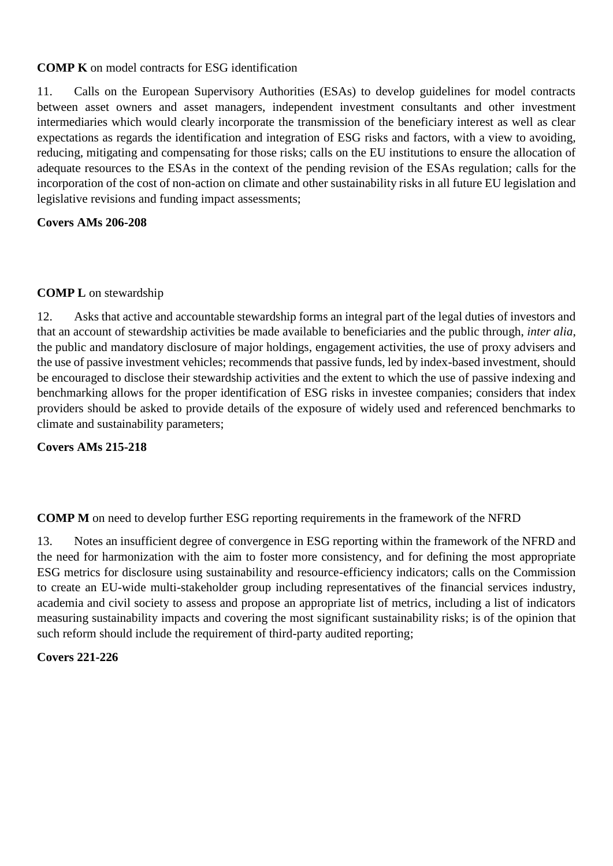## **COMP K** on model contracts for ESG identification

11. Calls on the European Supervisory Authorities (ESAs) to develop guidelines for model contracts between asset owners and asset managers, independent investment consultants and other investment intermediaries which would clearly incorporate the transmission of the beneficiary interest as well as clear expectations as regards the identification and integration of ESG risks and factors, with a view to avoiding, reducing, mitigating and compensating for those risks; calls on the EU institutions to ensure the allocation of adequate resources to the ESAs in the context of the pending revision of the ESAs regulation; calls for the incorporation of the cost of non-action on climate and other sustainability risks in all future EU legislation and legislative revisions and funding impact assessments;

## **Covers AMs 206-208**

## **COMP L** on stewardship

12. Asks that active and accountable stewardship forms an integral part of the legal duties of investors and that an account of stewardship activities be made available to beneficiaries and the public through, *inter alia*, the public and mandatory disclosure of major holdings, engagement activities, the use of proxy advisers and the use of passive investment vehicles; recommends that passive funds, led by index-based investment, should be encouraged to disclose their stewardship activities and the extent to which the use of passive indexing and benchmarking allows for the proper identification of ESG risks in investee companies; considers that index providers should be asked to provide details of the exposure of widely used and referenced benchmarks to climate and sustainability parameters;

## **Covers AMs 215-218**

**COMP M** on need to develop further ESG reporting requirements in the framework of the NFRD

13. Notes an insufficient degree of convergence in ESG reporting within the framework of the NFRD and the need for harmonization with the aim to foster more consistency, and for defining the most appropriate ESG metrics for disclosure using sustainability and resource-efficiency indicators; calls on the Commission to create an EU-wide multi-stakeholder group including representatives of the financial services industry, academia and civil society to assess and propose an appropriate list of metrics, including a list of indicators measuring sustainability impacts and covering the most significant sustainability risks; is of the opinion that such reform should include the requirement of third-party audited reporting;

## **Covers 221-226**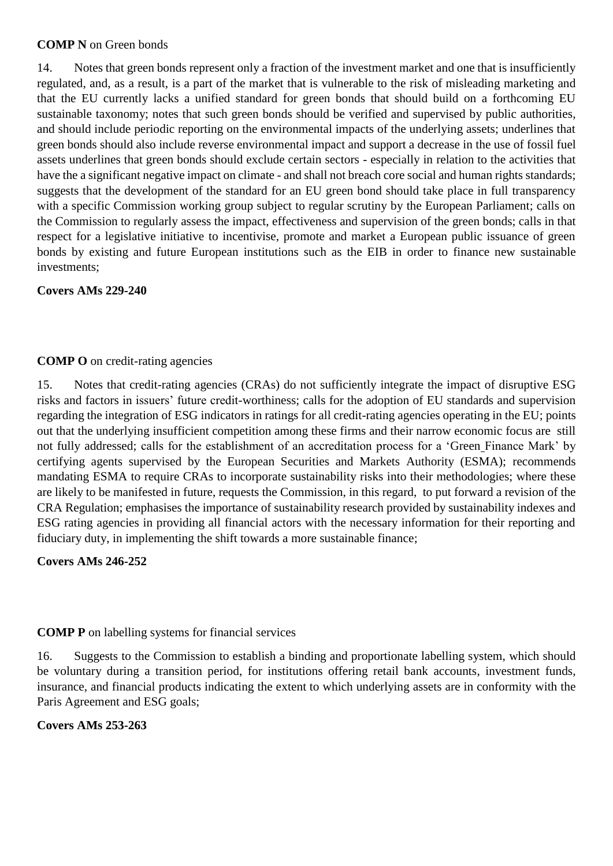#### **COMP N** on Green bonds

14. Notes that green bonds represent only a fraction of the investment market and one that is insufficiently regulated, and, as a result, is a part of the market that is vulnerable to the risk of misleading marketing and that the EU currently lacks a unified standard for green bonds that should build on a forthcoming EU sustainable taxonomy; notes that such green bonds should be verified and supervised by public authorities, and should include periodic reporting on the environmental impacts of the underlying assets; underlines that green bonds should also include reverse environmental impact and support a decrease in the use of fossil fuel assets underlines that green bonds should exclude certain sectors - especially in relation to the activities that have the a significant negative impact on climate - and shall not breach core social and human rights standards; suggests that the development of the standard for an EU green bond should take place in full transparency with a specific Commission working group subject to regular scrutiny by the European Parliament; calls on the Commission to regularly assess the impact, effectiveness and supervision of the green bonds; calls in that respect for a legislative initiative to incentivise, promote and market a European public issuance of green bonds by existing and future European institutions such as the EIB in order to finance new sustainable investments;

**Covers AMs 229-240**

## **COMP O** on credit-rating agencies

15. Notes that credit-rating agencies (CRAs) do not sufficiently integrate the impact of disruptive ESG risks and factors in issuers' future credit-worthiness; calls for the adoption of EU standards and supervision regarding the integration of ESG indicators in ratings for all credit-rating agencies operating in the EU; points out that the underlying insufficient competition among these firms and their narrow economic focus are still not fully addressed; calls for the establishment of an accreditation process for a 'Green Finance Mark' by certifying agents supervised by the European Securities and Markets Authority (ESMA); recommends mandating ESMA to require CRAs to incorporate sustainability risks into their methodologies; where these are likely to be manifested in future, requests the Commission, in this regard, to put forward a revision of the CRA Regulation; emphasises the importance of sustainability research provided by sustainability indexes and ESG rating agencies in providing all financial actors with the necessary information for their reporting and fiduciary duty, in implementing the shift towards a more sustainable finance;

## **Covers AMs 246-252**

**COMP P** on labelling systems for financial services

16. Suggests to the Commission to establish a binding and proportionate labelling system, which should be voluntary during a transition period, for institutions offering retail bank accounts, investment funds, insurance, and financial products indicating the extent to which underlying assets are in conformity with the Paris Agreement and ESG goals;

## **Covers AMs 253-263**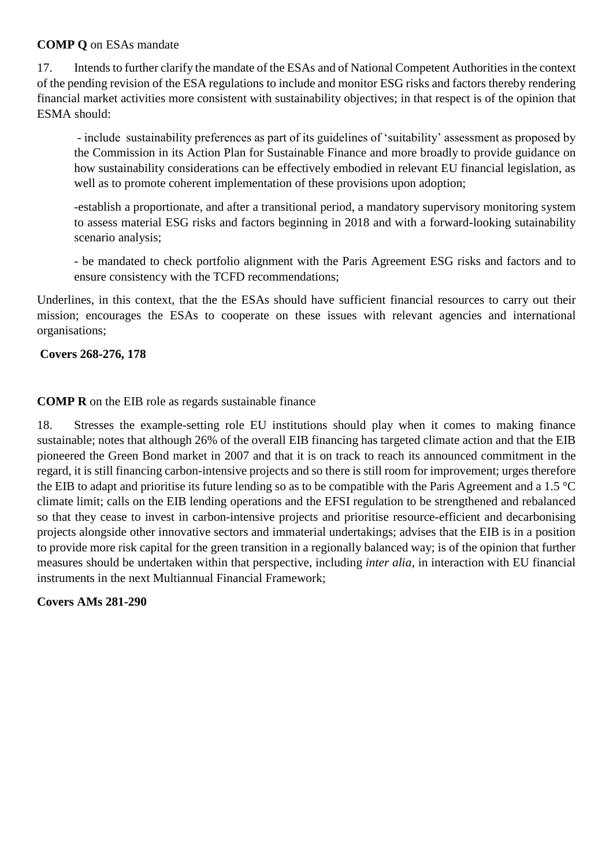## **COMP Q** on ESAs mandate

17. Intends to further clarify the mandate of the ESAs and of National Competent Authorities in the context of the pending revision of the ESA regulations to include and monitor ESG risks and factors thereby rendering financial market activities more consistent with sustainability objectives; in that respect is of the opinion that ESMA should:

- include sustainability preferences as part of its guidelines of 'suitability' assessment as proposed by the Commission in its Action Plan for Sustainable Finance and more broadly to provide guidance on how sustainability considerations can be effectively embodied in relevant EU financial legislation, as well as to promote coherent implementation of these provisions upon adoption;

-establish a proportionate, and after a transitional period, a mandatory supervisory monitoring system to assess material ESG risks and factors beginning in 2018 and with a forward-looking sutainability scenario analysis;

- be mandated to check portfolio alignment with the Paris Agreement ESG risks and factors and to ensure consistency with the TCFD recommendations;

Underlines, in this context, that the the ESAs should have sufficient financial resources to carry out their mission; encourages the ESAs to cooperate on these issues with relevant agencies and international organisations;

### **Covers 268-276, 178**

### **COMP R** on the EIB role as regards sustainable finance

18. Stresses the example-setting role EU institutions should play when it comes to making finance sustainable; notes that although 26% of the overall EIB financing has targeted climate action and that the EIB pioneered the Green Bond market in 2007 and that it is on track to reach its announced commitment in the regard, it is still financing carbon-intensive projects and so there is still room for improvement; urges therefore the EIB to adapt and prioritise its future lending so as to be compatible with the Paris Agreement and a 1.5 °C climate limit; calls on the EIB lending operations and the EFSI regulation to be strengthened and rebalanced so that they cease to invest in carbon-intensive projects and prioritise resource-efficient and decarbonising projects alongside other innovative sectors and immaterial undertakings; advises that the EIB is in a position to provide more risk capital for the green transition in a regionally balanced way; is of the opinion that further measures should be undertaken within that perspective, including *inter alia*, in interaction with EU financial instruments in the next Multiannual Financial Framework;

**Covers AMs 281-290**